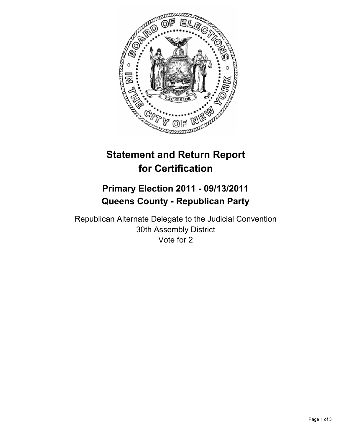

# **Statement and Return Report for Certification**

## **Primary Election 2011 - 09/13/2011 Queens County - Republican Party**

Republican Alternate Delegate to the Judicial Convention 30th Assembly District Vote for 2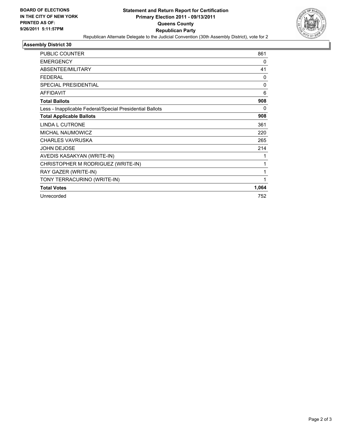

## **Assembly District 30**

| <b>PUBLIC COUNTER</b>                                    | 861          |
|----------------------------------------------------------|--------------|
| <b>EMERGENCY</b>                                         | 0            |
| ABSENTEE/MILITARY                                        | 41           |
| <b>FEDERAL</b>                                           | 0            |
| <b>SPECIAL PRESIDENTIAL</b>                              | $\mathbf{0}$ |
| <b>AFFIDAVIT</b>                                         | 6            |
| <b>Total Ballots</b>                                     | 908          |
| Less - Inapplicable Federal/Special Presidential Ballots | 0            |
| <b>Total Applicable Ballots</b>                          | 908          |
| <b>LINDA L CUTRONE</b>                                   | 361          |
| MICHAL NAUMOWICZ                                         | 220          |
| <b>CHARLES VAVRUSKA</b>                                  | 265          |
| <b>JOHN DEJOSE</b>                                       | 214          |
| AVEDIS KASAKYAN (WRITE-IN)                               | 1            |
| CHRISTOPHER M RODRIGUEZ (WRITE-IN)                       | 1            |
| RAY GAZER (WRITE-IN)                                     | 1            |
| TONY TERRACURINO (WRITE-IN)                              | 1            |
| <b>Total Votes</b>                                       | 1,064        |
| Unrecorded                                               | 752          |